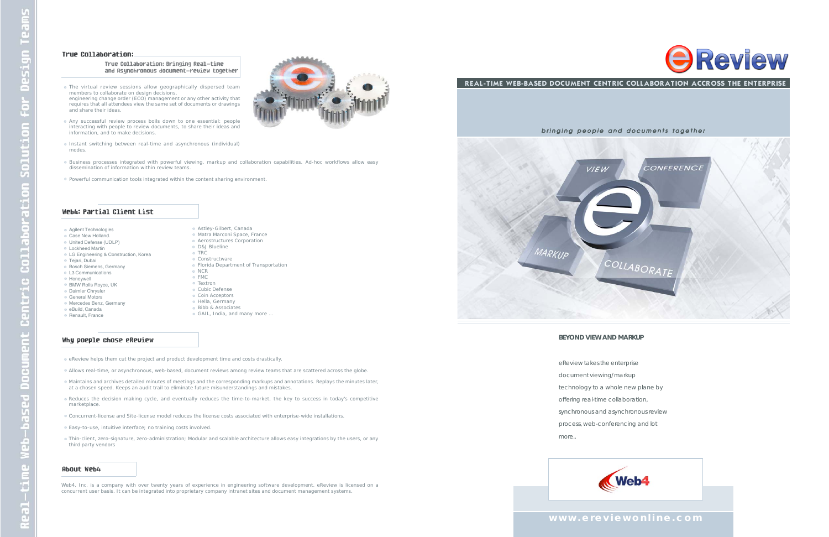#### True Collaboration:

True Collaboration: Bringing Real-time and Asynchronous document-review together

#### **www.ereviewonline.com**

*bringing people and documents together*



#### **BEYOND VIEW AND MARKUP**

- Agilent Technologies
- Case New Holland.
- United Defense (UDLP)
- Lockheed Martin
- **Example 2** Construction, Korea
- Tejari, Dubai
- **Bosch Siemens, Germany**
- L3 Communications
- Honeywell
- BMW Rolls Royce, UK
- Daimler Chrysler
- General Motors
- Mercedes Benz, Germany eBuild, Canada
- **Renault, France**
- 

- eReview takes the enterprise document viewing/markup technology to a whole new plane by offering real-time collaboration, synchronous and asynchronous review process, web-conferencing and lot
- more..



REAL-TIME WEB-BASED DOCUMENT CENTRIC COLLABORATION ACCROSS THE ENTERPRISE

- 
- 

D&J Blueline o TRC **Constructware** 



- Astley-Gilbert, Canada
- Matra Marconi Space, France
- Aerostructures Corporation
- 
- 
- **Florida Department of Transportation**
- NCR
- FMC
- Textron
- Cubic Defense
- Coin Acceptors
- Hella, Germany
- **Bibb & Associates**
- GAIL, India, and many more …

#### Why poeple chose eReview

- eReview helps them cut the project and product development time and costs drastically.
- Allows real-time, or asynchronous, web-based, document reviews among review teams that are scattered across the globe.
- Maintains and archives detailed minutes of meetings and the corresponding markups and annotations. Replays the minutes later, at a chosen speed. Keeps an audit trail to eliminate future misunderstandings and mistakes.
- Reduces the decision making cycle, and eventually reduces the time-to-market, the key to success in today's competitive marketplace.
- Concurrent-license and Site-license model reduces the license costs associated with enterprise-wide installations.
- Easy-to-use, intuitive interface; no training costs involved.
- Thin-client, zero-signature, zero-administration; Modular and scalable architecture allows easy integrations by the users, or any third party vendors

#### **About Web4**

Web4, Inc. is a company with over twenty years of experience in engineering software development. eReview is licensed on a concurrent user basis. It can be integrated into proprietary company intranet sites and document management systems.



- The virtual review sessions allow geographically dispersed team members to collaborate on design decisions, engineering change order (ECO) management or any other activity that requires that all attendees view the same set of documents or drawings
- and share their ideas. Any successful review process boils down to one essential: people interacting with people to review documents, to share their ideas and
- Instant switching between real-time and asynchronous (individual) modes.
- Business processes integrated with powerful viewing, markup and collaboration capabilities. Ad-hoc workflows allow easy dissemination of information within review teams.
- Powerful communication tools integrated within the content sharing environment.

#### Web4: Partial Client List

information, and to make decisions.